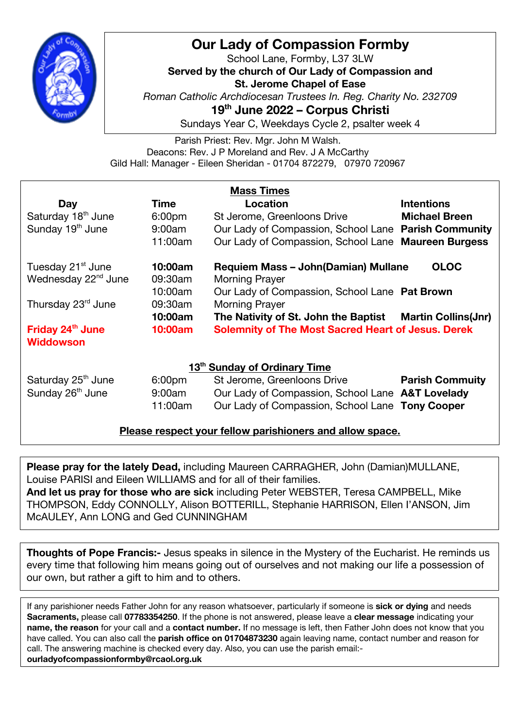

## **Our Lady of Compassion Formby**

School Lane, Formby, L37 3LW **Served by the church of Our Lady of Compassion and St. Jerome Chapel of Ease** *Roman Catholic Archdiocesan Trustees In. Reg. Charity No. 232709* **19th June 2022 – Corpus Christi** Sundays Year C, Weekdays Cycle 2, psalter week 4

Parish Priest: Rev. Mgr. John M Walsh. Deacons: Rev. J P Moreland and Rev. J A McCarthy Gild Hall: Manager - Eileen Sheridan - 01704 872279, 07970 720967

| <b>Mass Times</b>                        |                    |                                                           |                        |
|------------------------------------------|--------------------|-----------------------------------------------------------|------------------------|
| <b>Day</b>                               | Time               | Location                                                  | <b>Intentions</b>      |
| Saturday 18 <sup>th</sup> June           | 6:00 <sub>pm</sub> | St Jerome, Greenloons Drive                               | <b>Michael Breen</b>   |
| Sunday 19 <sup>th</sup> June             | 9:00am             | Our Lady of Compassion, School Lane Parish Community      |                        |
|                                          | 11:00am            | Our Lady of Compassion, School Lane Maureen Burgess       |                        |
| Tuesday 21 <sup>st</sup> June            | 10:00am            | <b>OLOC</b><br>Requiem Mass - John (Damian) Mullane       |                        |
| Wednesday 22 <sup>nd</sup> June          | 09:30am            | <b>Morning Prayer</b>                                     |                        |
|                                          | 10:00am            | Our Lady of Compassion, School Lane Pat Brown             |                        |
| Thursday 23rd June                       | 09:30am            | <b>Morning Prayer</b>                                     |                        |
|                                          | 10:00am            | The Nativity of St. John the Baptist Martin Collins(Jnr)  |                        |
| Friday 24 <sup>th</sup> June             | 10:00am            | <b>Solemnity of The Most Sacred Heart of Jesus. Derek</b> |                        |
| Widdowson                                |                    |                                                           |                        |
| 13 <sup>th</sup> Sunday of Ordinary Time |                    |                                                           |                        |
| Saturday 25 <sup>th</sup> June           | 6:00 <sub>pm</sub> | St Jerome, Greenloons Drive                               | <b>Parish Commuity</b> |
| Sunday 26 <sup>th</sup> June             | 9:00am             | Our Lady of Compassion, School Lane A&T Lovelady          |                        |
|                                          | 11:00am            | Our Lady of Compassion, School Lane Tony Cooper           |                        |

**Please respect your fellow parishioners and allow space.**

**Please pray for the lately Dead,** including Maureen CARRAGHER, John (Damian)MULLANE, Louise PARISI and Eileen WILLIAMS and for all of their families.

**And let us pray for those who are sick** including Peter WEBSTER, Teresa CAMPBELL, Mike THOMPSON, Eddy CONNOLLY, Alison BOTTERILL, Stephanie HARRISON, Ellen I'ANSON, Jim McAULEY, Ann LONG and Ged CUNNINGHAM

**Thoughts of Pope Francis:-** Jesus speaks in silence in the Mystery of the Eucharist. He reminds us every time that following him means going out of ourselves and not making our life a possession of our own, but rather a gift to him and to others.

If any parishioner needs Father John for any reason whatsoever, particularly if someone is **sick or dying** and needs **Sacraments,** please call **07783354250**. If the phone is not answered, please leave a **clear message** indicating your **name, the reason** for your call and a **contact number.** If no message is left, then Father John does not know that you have called. You can also call the **parish office on 01704873230** again leaving name, contact number and reason for call. The answering machine is checked every day. Also, you can use the parish email: **ourladyofcompassionformby@rcaol.org.uk**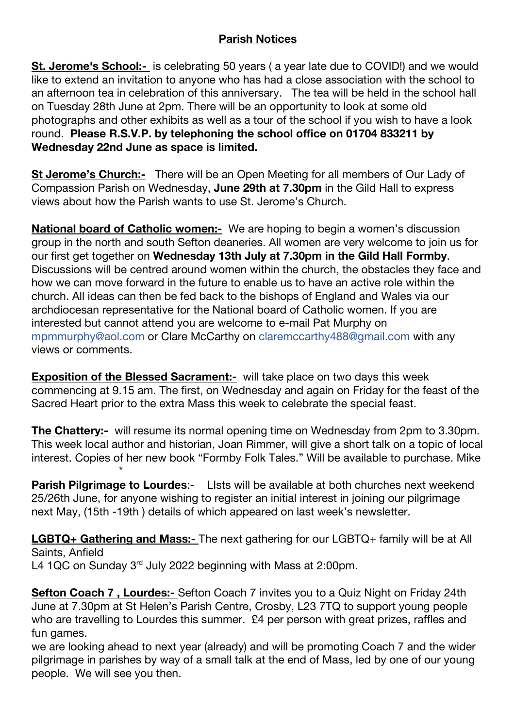## **Parish Notices**

**St. Jerome's School:-** is celebrating 50 years (a year late due to COVID!) and we would like to extend an invitation to anyone who has had a close association with the school to an afternoon tea in celebration of this anniversary. The tea will be held in the school hall on Tuesday 28th June at 2pm. There will be an opportunity to look at some old photographs and other exhibits as well as a tour of the school if you wish to have a look round. **Please R.S.V.P. by telephoning the school office on 01704 833211 by Wednesday 22nd June as space is limited.**

**St Jerome's Church:-** There will be an Open Meeting for all members of Our Lady of Compassion Parish on Wednesday, **June 29th at 7.30pm** in the Gild Hall to express views about how the Parish wants to use St. Jerome's Church.

**National board of Catholic women:-** We are hoping to begin a women's discussion group in the north and south Sefton deaneries. All women are very welcome to join us for our first get together on **Wednesday 13th July at 7.30pm in the Gild Hall Formby**. Discussions will be centred around women within the church, the obstacles they face and how we can move forward in the future to enable us to have an active role within the church. All ideas can then be fed back to the bishops of England and Wales via our archdiocesan representative for the National board of Catholic women. If you are interested but cannot attend you are welcome to e-mail Pat Murphy on mpmmurphy@aol.com or Clare McCarthy on claremccarthy488@gmail.com with any views or comments.

**Exposition of the Blessed Sacrament:-** will take place on two days this week commencing at 9.15 am. The first, on Wednesday and again on Friday for the feast of the Sacred Heart prior to the extra Mass this week to celebrate the special feast.

**The Chattery:-** will resume its normal opening time on Wednesday from 2pm to 3.30pm. This week local author and historian, Joan Rimmer, will give a short talk on a topic of local interest. Copies of her new book "Formby Folk Tales." Will be available to purchase. Mike \*

**Parish Pilgrimage to Lourdes:-** Lists will be available at both churches next weekend 25/26th June, for anyone wishing to register an initial interest in joining our pilgrimage next May, (15th -19th ) details of which appeared on last week's newsletter.

**LGBTQ+ Gathering and Mass:-** The next gathering for our LGBTQ+ family will be at All Saints, Anfield L4 1QC on Sunday 3<sup>rd</sup> July 2022 beginning with Mass at 2:00pm.

**Sefton Coach 7 , Lourdes:-** Sefton Coach 7 invites you to a Quiz Night on Friday 24th June at 7.30pm at St Helen's Parish Centre, Crosby, L23 7TQ to support young people who are travelling to Lourdes this summer. £4 per person with great prizes, raffles and fun games.

we are looking ahead to next year (already) and will be promoting Coach 7 and the wider pilgrimage in parishes by way of a small talk at the end of Mass, led by one of our young people. We will see you then.